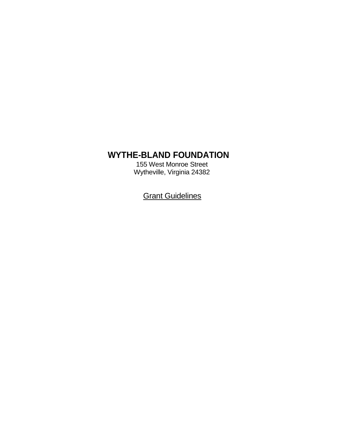# **WYTHE-BLAND FOUNDATION**

155 West Monroe Street Wytheville, Virginia 24382

**Grant Guidelines**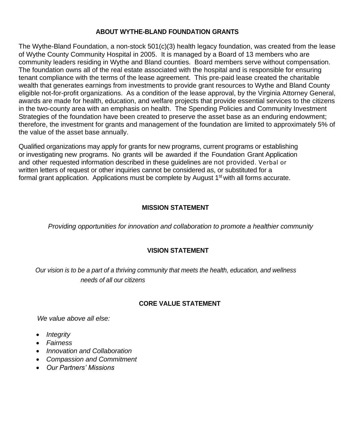#### **ABOUT WYTHE-BLAND FOUNDATION GRANTS**

The Wythe-Bland Foundation, a non-stock 501(c)(3) health legacy foundation, was created from the lease of Wythe County Community Hospital in 2005. It is managed by a Board of 13 members who are community leaders residing in Wythe and Bland counties. Board members serve without compensation. The foundation owns all of the real estate associated with the hospital and is responsible for ensuring tenant compliance with the terms of the lease agreement. This pre-paid lease created the charitable wealth that generates earnings from investments to provide grant resources to Wythe and Bland County eligible not-for-profit organizations. As a condition of the lease approval, by the Virginia Attorney General, awards are made for health, education, and welfare projects that provide essential services to the citizens in the two-county area with an emphasis on health. The Spending Policies and Community Investment Strategies of the foundation have been created to preserve the asset base as an enduring endowment; therefore, the investment for grants and management of the foundation are limited to approximately 5% of the value of the asset base annually.

Qualified organizations may apply for grants for new programs, current programs or establishing or investigating new programs. No grants will be awarded if the Foundation Grant Application and other requested information described in these guidelines are not provided. Verbal or written letters of request or other inquiries cannot be considered as, or substituted for a formal grant application. Applications must be complete by August  $1<sup>st</sup>$  with all forms accurate.

## **MISSION STATEMENT**

*Providing opportunities for innovation and collaboration to promote a healthier community*

## **VISION STATEMENT**

 *Our vision is to be a part of a thriving community that meets the health, education, and wellness needs of all our citizens*

#### **CORE VALUE STATEMENT**

*We value above all else:*

- *Integrity*
- *Fairness*
- *Innovation and Collaboration*
- *Compassion and Commitment*
- *Our Partners' Missions*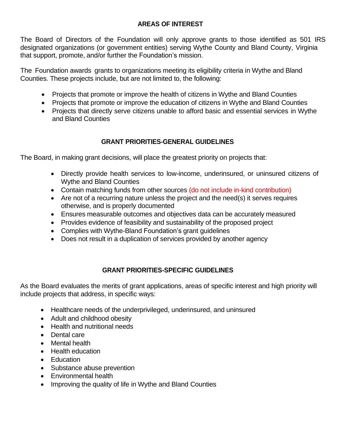## **AREAS OF INTEREST**

The Board of Directors of the Foundation will only approve grants to those identified as 501 IRS designated organizations (or government entities) serving Wythe County and Bland County, Virginia that support, promote, and/or further the Foundation's mission.

The Foundation awards grants to organizations meeting its eligibility criteria in Wythe and Bland Counties. These projects include, but are not limited to, the following:

- Projects that promote or improve the health of citizens in Wythe and Bland Counties
- Projects that promote or improve the education of citizens in Wythe and Bland Counties
- Projects that directly serve citizens unable to afford basic and essential services in Wythe and Bland Counties

# **GRANT PRIORITIES-GENERAL GUIDELINES**

The Board, in making grant decisions, will place the greatest priority on projects that:

- Directly provide health services to low-income, underinsured, or uninsured citizens of Wythe and Bland Counties
- Contain matching funds from other sources (do not include in-kind contribution)
- Are not of a recurring nature unless the project and the need(s) it serves requires otherwise, and is properly documented
- Ensures measurable outcomes and objectives data can be accurately measured
- Provides evidence of feasibility and sustainability of the proposed project
- Complies with Wythe-Bland Foundation's grant guidelines
- Does not result in a duplication of services provided by another agency

# **GRANT PRIORITIES-SPECIFIC GUIDELINES**

As the Board evaluates the merits of grant applications, areas of specific interest and high priority will include projects that address, in specific ways:

- Healthcare needs of the underprivileged, underinsured, and uninsured
- Adult and childhood obesity
- Health and nutritional needs
- Dental care
- Mental health
- Health education
- Education
- Substance abuse prevention
- Environmental health
- Improving the quality of life in Wythe and Bland Counties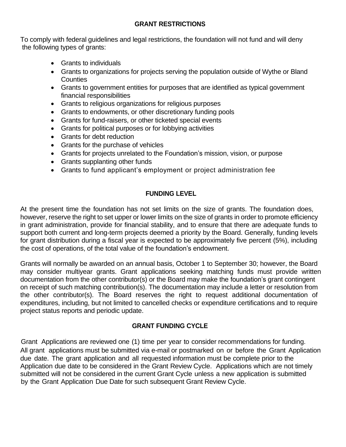#### **GRANT RESTRICTIONS**

To comply with federal guidelines and legal restrictions, the foundation will not fund and will deny the following types of grants:

- Grants to individuals
- Grants to organizations for projects serving the population outside of Wythe or Bland **Counties**
- Grants to government entities for purposes that are identified as typical government financial responsibilities
- Grants to religious organizations for religious purposes
- Grants to endowments, or other discretionary funding pools
- Grants for fund-raisers, or other ticketed special events
- Grants for political purposes or for lobbying activities
- Grants for debt reduction
- Grants for the purchase of vehicles
- Grants for projects unrelated to the Foundation's mission, vision, or purpose
- Grants supplanting other funds
- Grants to fund applicant's employment or project administration fee

# **FUNDING LEVEL**

At the present time the foundation has not set limits on the size of grants. The foundation does, however, reserve the right to set upper or lower limits on the size of grants in order to promote efficiency in grant administration, provide for financial stability, and to ensure that there are adequate funds to support both current and long-term projects deemed a priority by the Board. Generally, funding levels for grant distribution during a fiscal year is expected to be approximately five percent (5%), including the cost of operations, of the total value of the foundation's endowment.

Grants will normally be awarded on an annual basis, October 1 to September 30; however, the Board may consider multiyear grants. Grant applications seeking matching funds must provide written documentation from the other contributor(s) or the Board may make the foundation's grant contingent on receipt of such matching contribution(s). The documentation may include a letter or resolution from the other contributor(s). The Board reserves the right to request additional documentation of expenditures, including, but not limited to cancelled checks or expenditure certifications and to require project status reports and periodic update.

# **GRANT FUNDING CYCLE**

Grant Applications are reviewed one (1) time per year to consider recommendations for funding. All grant applications must be submitted via e-mail or postmarked on or before the Grant Application due date. The grant application and all requested information must be complete prior to the Application due date to be considered in the Grant Review Cycle. Applications which are not timely submitted will not be considered in the current Grant Cycle unless a new application is submitted by the Grant Application Due Date for such subsequent Grant Review Cycle.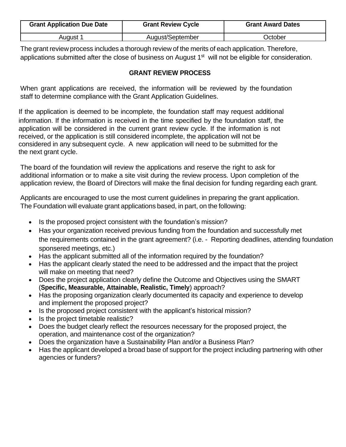| <b>Grant Application Due Date</b> | <b>Grant Review Cycle</b> | <b>Grant Award Dates</b> |
|-----------------------------------|---------------------------|--------------------------|
| August 1                          | August/September          | Dctober                  |

The grant review process includes a thorough review of the merits of each application. Therefore, applications submitted after the close of business on August 1<sup>st</sup> will not be eligible for consideration.

## **GRANT REVIEW PROCESS**

When grant applications are received, the information will be reviewed by the foundation staff to determine compliance with the Grant Application Guidelines.

If the application is deemed to be incomplete, the foundation staff may request additional information. If the information is received in the time specified by the foundation staff, the application will be considered in the current grant review cycle. If the information is not received, or the application is still considered incomplete, the application will not be considered in any subsequent cycle. A new application will need to be submitted for the the next grant cycle.

The board of the foundation will review the applications and reserve the right to ask for additional information or to make a site visit during the review process. Upon completion of the application review, the Board of Directors will make the final decision for funding regarding each grant.

Applicants are encouraged to use the most current guidelines in preparing the grant application. The Foundation will evaluate grant applications based, in part, on the following:

- Is the proposed project consistent with the foundation's mission?
- Has your organization received previous funding from the foundation and successfully met the requirements contained in the grant agreement? (i.e. - Reporting deadlines, attending foundation sponsered meetings, etc.)
- Has the applicant submitted all of the information required by the foundation?
- Has the applicant clearly stated the need to be addressed and the impact that the project will make on meeting that need?
- Does the project application clearly define the Outcome and Objectives using the SMART (**Specific, Measurable, Attainable, Realistic, Timely**) approach?
- Has the proposing organization clearly documented its capacity and experience to develop and implement the proposed project?
- Is the proposed project consistent with the applicant's historical mission?
- Is the project timetable realistic?
- Does the budget clearly reflect the resources necessary for the proposed project, the operation, and maintenance cost of the organization?
- Does the organization have a Sustainability Plan and/or a Business Plan?
- Has the applicant developed a broad base of support for the project including partnering with other agencies or funders?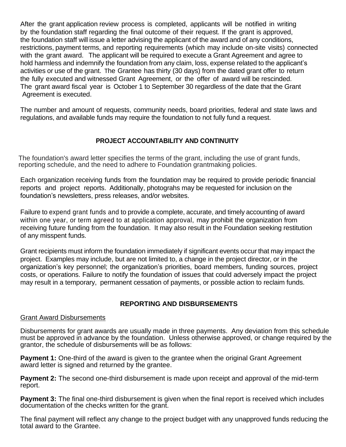After the grant application review process is completed, applicants will be notified in writing by the foundation staff regarding the final outcome of their request. If the grant is approved, the foundation staff will issue a letter advising the applicant of the award and of any conditions, restrictions, payment terms, and reporting requirements (which may include on-site visits) connected with the grant award. The applicant will be required to execute a Grant Agreement and agree to hold harmless and indemnify the foundation from any claim, loss, expense related to the applicant's activities or use of the grant. The Grantee has thirty (30 days) from the dated grant offer to return the fully executed and witnessed Grant Agreement, or the offer of award will be rescinded. The grant award fiscal year is October 1 to September 30 regardless of the date that the Grant Agreement is executed.

The number and amount of requests, community needs, board priorities, federal and state laws and regulations, and available funds may require the foundation to not fully fund a request.

# **PROJECT ACCOUNTABILITY AND CONTINUITY**

The foundation's award letter specifies the terms of the grant, including the use of grant funds, reporting schedule, and the need to adhere to Foundation grantmaking policies.

Each organization receiving funds from the foundation may be required to provide periodic financial reports and project reports. Additionally, photograhs may be requested for inclusion on the foundation's newsletters, press releases, and/or websites.

Failure to expend grant funds and to provide a complete, accurate, and timely accounting of award within one year, or term agreed to at application approval, may prohibit the organization from receiving future funding from the foundation. It may also result in the Foundation seeking restitution of any misspent funds.

Grant recipients must inform the foundation immediately if significant events occur that may impact the project. Examples may include, but are not limited to, a change in the project director, or in the organization's key personnel; the organization's priorities, board members, funding sources, project costs, or operations. Failure to notify the foundation of issues that could adversely impact the project may result in a temporary, permanent cessation of payments, or possible action to reclaim funds.

## **REPORTING AND DISBURSEMENTS**

#### Grant Award Disbursements

Disbursements for grant awards are usually made in three payments. Any deviation from this schedule must be approved in advance by the foundation. Unless otherwise approved, or change required by the grantor, the schedule of disbursements will be as follows:

**Payment 1:** One-third of the award is given to the grantee when the original Grant Agreement award letter is signed and returned by the grantee.

**Payment 2:** The second one-third disbursement is made upon receipt and approval of the mid-term report.

**Payment 3:** The final one-third disbursement is given when the final report is received which includes documentation of the checks written for the grant.

The final payment will reflect any change to the project budget with any unapproved funds reducing the total award to the Grantee.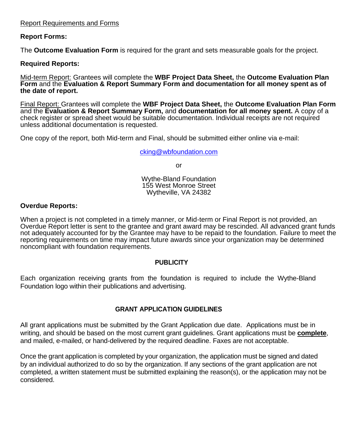#### Report Requirements and Forms

#### **Report Forms:**

The **Outcome Evaluation Form** is required for the grant and sets measurable goals for the project.

#### **Required Reports:**

Mid-term Report: Grantees will complete the **WBF Project Data Sheet,** the **Outcome Evaluation Plan Form** and the **Evaluation & Report Summary Form and documentation for all money spent as of the date of report.** 

Final Report: Grantees will complete the **WBF Project Data Sheet,** the **Outcome Evaluation Plan Form** and the **Evaluation & Report Summary Form,** and **documentation for all money spent.** A copy of a check register or spread sheet would be suitable documentation. Individual receipts are not required unless additional documentation is requested.

One copy of the report, both Mid-term and Final, should be submitted either online via e-mail:

[cking@wbfoundation.com](mailto:cking@wbfoundation.com)

or

Wythe-Bland Foundation 155 West Monroe Street Wytheville, VA 24382

#### **Overdue Reports:**

When a project is not completed in a timely manner, or Mid-term or Final Report is not provided, an Overdue Report letter is sent to the grantee and grant award may be rescinded. All advanced grant funds not adequately accounted for by the Grantee may have to be repaid to the foundation. Failure to meet the reporting requirements on time may impact future awards since your organization may be determined noncompliant with foundation requirements.

#### **PUBLICITY**

Each organization receiving grants from the foundation is required to include the Wythe-Bland Foundation logo within their publications and advertising.

#### **GRANT APPLICATION GUIDELINES**

All grant applications must be submitted by the Grant Application due date. Applications must be in writing, and should be based on the most current grant guidelines. Grant applications must be **complete**, and mailed, e-mailed, or hand-delivered by the required deadline. Faxes are not acceptable.

Once the grant application is completed by your organization, the application must be signed and dated by an individual authorized to do so by the organization. If any sections of the grant application are not completed, a written statement must be submitted explaining the reason(s), or the application may not be considered.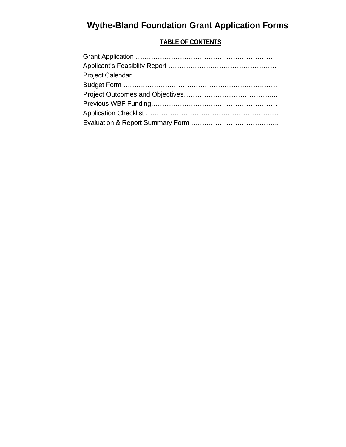# **Wythe-Bland Foundation Grant Application Forms**

# **TABLE OF CONTENTS**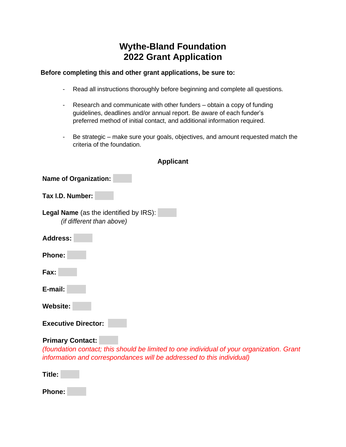# **Wythe-Bland Foundation 2022 Grant Application**

#### **Before completing this and other grant applications, be sure to:**

- Read all instructions thoroughly before beginning and complete all questions.
- Research and communicate with other funders obtain a copy of funding guidelines, deadlines and/or annual report. Be aware of each funder's preferred method of initial contact, and additional information required.
- Be strategic make sure your goals, objectives, and amount requested match the criteria of the foundation.

**Applicant**

| <b>Name of Organization:</b>                                               |
|----------------------------------------------------------------------------|
| Tax I.D. Number:                                                           |
| <b>Legal Name</b> (as the identified by IRS):<br>(if different than above) |
| <b>Address:</b>                                                            |
| <b>Phone:</b>                                                              |
| Fax:                                                                       |
| E-mail:                                                                    |
| <b>Website:</b>                                                            |
| <b>Executive Director:</b>                                                 |
| <b>Primary Contact:</b>                                                    |

# *(foundation contact; this should be limited to one individual of your organization. Grant information and correspondances will be addressed to this individual)*

**Title:** 

**Phone:**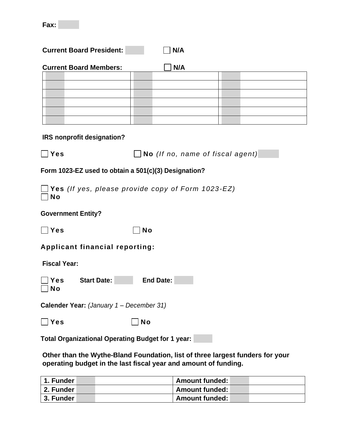| <b>Current Board President:</b>                                | N/A                              |  |  |  |
|----------------------------------------------------------------|----------------------------------|--|--|--|
| <b>Current Board Members:</b>                                  | N/A                              |  |  |  |
| IRS nonprofit designation?                                     |                                  |  |  |  |
| Yes                                                            | No (If no, name of fiscal agent) |  |  |  |
| Form 1023-EZ used to obtain a 501(c)(3) Designation?           |                                  |  |  |  |
| Yes (If yes, please provide copy of Form 1023-EZ)<br><b>No</b> |                                  |  |  |  |
| <b>Government Entity?</b>                                      |                                  |  |  |  |
| Yes                                                            | <b>No</b>                        |  |  |  |
| <b>Applicant financial reporting:</b>                          |                                  |  |  |  |
| <b>Fiscal Year:</b>                                            |                                  |  |  |  |
| <b>Start Date:</b><br><b>End Date:</b><br>Yes<br><b>No</b>     |                                  |  |  |  |
| Calender Year: (January 1 - December 31)                       |                                  |  |  |  |
| Yes                                                            | <b>No</b>                        |  |  |  |
| <b>Total Organizational Operating Budget for 1 year:</b>       |                                  |  |  |  |

**Other than the Wythe-Bland Foundation, list of three largest funders for your operating budget in the last fiscal year and amount of funding.**

| 1. Funder   | <b>Amount funded:</b> |
|-------------|-----------------------|
| l 2. Funder | <b>Amount funded:</b> |
| 3. Funder   | <b>Amount funded:</b> |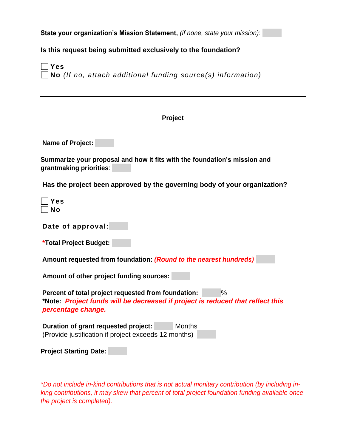**State your organization's Mission Statement,** *(if none, state your mission)*:

**Is this request being submitted exclusively to the foundation?**

**Yes No** *(If no, attach additional funding source(s) information)*

#### **Project**

**Name of Project:** 

**Summarize your proposal and how it fits with the foundation's mission and grantmaking priorities**:

**Has the project been approved by the governing body of your organization?**

| ٥<br>s |
|--------|
| N<br>n |

**Date of approval:**

**Amount requested from foundation:** *(Round to the nearest hundreds)*

**Amount of other project funding sources:** 

**Percent of total project requested from foundation:** % **\*Note:** *Project funds will be decreased if project is reduced that reflect this percentage change.*

| Duration of grant requested project:                 | Months |
|------------------------------------------------------|--------|
| (Provide justification if project exceeds 12 months) |        |

**Project Starting Date:** 

*\*Do not include in-kind contributions that is not actual monitary contribution (by including inking contributions, it may skew that percent of total project foundation funding available once the project is completed).*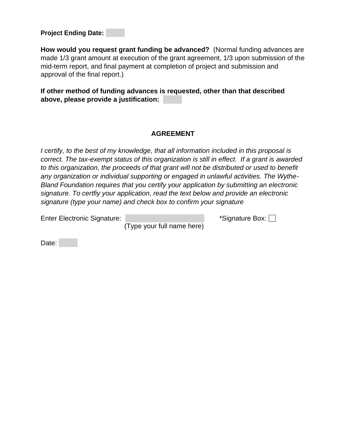**Project Ending Date:** 

**How would you request grant funding be advanced?** (Normal funding advances are made 1/3 grant amount at execution of the grant agreement, 1/3 upon submission of the mid-term report, and final payment at completion of project and submission and approval of the final report.)

**If other method of funding advances is requested, other than that described above, please provide a justification:** 

### **AGREEMENT**

*I certify, to the best of my knowledge, that all information included in this proposal is correct. The tax-exempt status of this organization is still in effect. If a grant is awarded to this organization, the proceeds of that grant will not be distributed or used to benefit any organization or individual supporting or engaged in unlawful activities. The Wythe-Bland Foundation requires that you certify your application by submitting an electronic signature. To certfiy your application, read the text below and provide an electronic signature (type your name) and check box to confirm your signature*

Enter Electronic Signature: \*Signature Box:

(Type your full name here)

Date: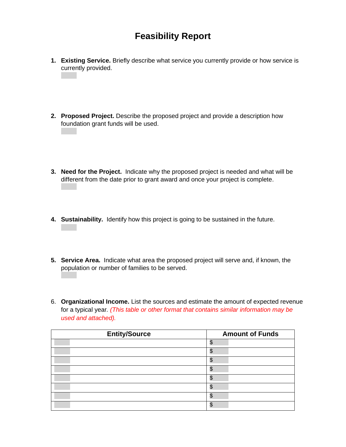# **Feasibility Report**

- **1. Existing Service.** Briefly describe what service you currently provide or how service is currently provided.
- **2. Proposed Project.** Describe the proposed project and provide a description how foundation grant funds will be used.
- **3. Need for the Project.** Indicate why the proposed project is needed and what will be different from the date prior to grant award and once your project is complete.
- **4. Sustainability.** Identify how this project is going to be sustained in the future.
- **5. Service Area.** Indicate what area the proposed project will serve and, if known, the population or number of families to be served.
- 6. **Organizational Income.** List the sources and estimate the amount of expected revenue for a typical year*. (This table or other format that contains similar information may be used and attached).*

| <b>Entity/Source</b> | <b>Amount of Funds</b> |  |
|----------------------|------------------------|--|
|                      | æ                      |  |
|                      |                        |  |
|                      |                        |  |
|                      |                        |  |
|                      |                        |  |
|                      |                        |  |
|                      |                        |  |
|                      |                        |  |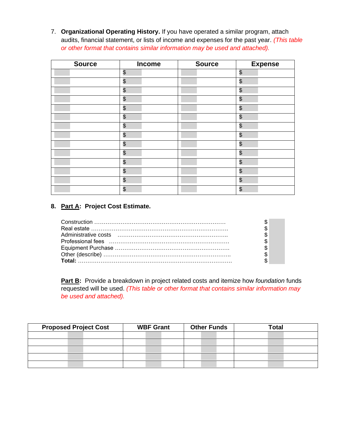7. **Organizational Operating History.** If you have operated a similar program, attach audits, financial statement, or lists of income and expenses for the past year. *(This table or other format that contains similar information may be used and attached).*

| <b>Source</b> | Income        | <b>Source</b> | <b>Expense</b>        |
|---------------|---------------|---------------|-----------------------|
|               | \$            |               | $\boldsymbol{\theta}$ |
|               | $\frac{1}{2}$ |               | \$                    |
|               | \$            |               | \$                    |
|               | \$            |               | $\boldsymbol{\theta}$ |
|               | \$            |               | \$                    |
|               | \$            |               | $\boldsymbol{\theta}$ |
|               | \$            |               | \$                    |
|               | \$            |               | \$                    |
|               | \$            |               | \$                    |
|               | $\frac{1}{2}$ |               | \$                    |
|               | \$            |               | \$                    |
|               | \$            |               | \$                    |
|               | \$            |               | \$                    |
|               | \$            |               | \$                    |

## **8. Part A: Project Cost Estimate.**

**Part B:** Provide a breakdown in project related costs and itemize how *foundation* funds requested will be used. *(This table or other format that contains similar information may be used and attached).*

| <b>Proposed Project Cost</b> | <b>WBF Grant</b> | <b>Other Funds</b> | <b>Total</b> |
|------------------------------|------------------|--------------------|--------------|
|                              |                  |                    |              |
|                              |                  |                    |              |
|                              |                  |                    |              |
|                              |                  |                    |              |
|                              |                  |                    |              |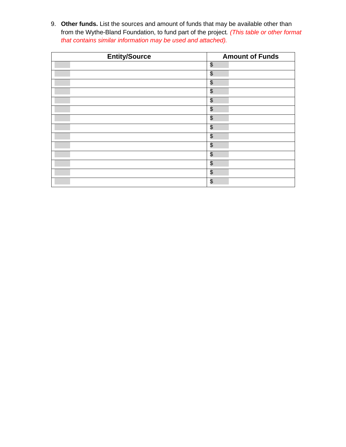9. **Other funds.** List the sources and amount of funds that may be available other than from the Wythe-Bland Foundation, to fund part of the project*. (This table or other format that contains similar information may be used and attached).*

| <b>Entity/Source</b> | <b>Amount of Funds</b> |  |  |
|----------------------|------------------------|--|--|
|                      | \$                     |  |  |
|                      | \$                     |  |  |
|                      | \$                     |  |  |
|                      | \$                     |  |  |
|                      | \$                     |  |  |
|                      | \$                     |  |  |
|                      | \$                     |  |  |
|                      | \$                     |  |  |
|                      | \$                     |  |  |
|                      | \$                     |  |  |
|                      | \$                     |  |  |
|                      | \$                     |  |  |
|                      | \$                     |  |  |
|                      | \$                     |  |  |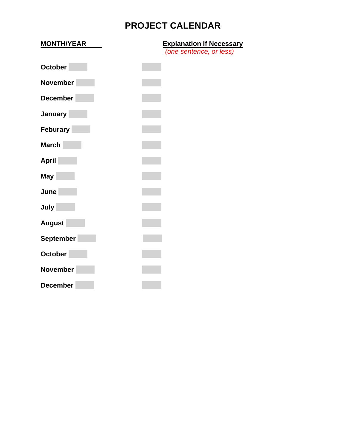# **PROJECT CALENDAR**

| <b>MONTH/YEAR</b> | <b>Explanation if Necessary</b> |
|-------------------|---------------------------------|
|                   | (one sentence, or less)         |
| <b>October</b>    |                                 |
| <b>November</b>   |                                 |
| <b>December</b>   |                                 |
| January           |                                 |
| <b>Feburary</b>   |                                 |
| <b>March</b>      |                                 |
| <b>April</b>      |                                 |
| <b>May</b>        |                                 |
| June              |                                 |
| July              |                                 |
| <b>August</b>     |                                 |
| <b>September</b>  |                                 |
| October           |                                 |
| <b>November</b>   |                                 |
| <b>December</b>   |                                 |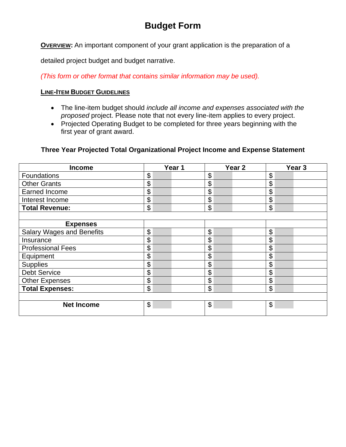# **Budget Form**

**OVERVIEW:** An important component of your grant application is the preparation of a

detailed project budget and budget narrative.

*(This form or other format that contains similar information may be used).*

#### **LINE-ITEM BUDGET GUIDELINES**

- The line-item budget should *include all income and expenses associated with the proposed* project. Please note that not every line-item applies to every project.
- Projected Operating Budget to be completed for three years beginning with the first year of grant award.

### **Three Year Projected Total Organizational Project Income and Expense Statement**

| <b>Income</b>                    | Year 1                    | Year <sub>2</sub> | Year <sub>3</sub> |
|----------------------------------|---------------------------|-------------------|-------------------|
| Foundations                      | \$                        | \$                | \$                |
| <b>Other Grants</b>              | \$                        | \$                | \$                |
| <b>Earned Income</b>             | \$                        | \$                | \$                |
| Interest Income                  | \$                        | \$                | \$                |
| <b>Total Revenue:</b>            | \$                        | \$                | \$                |
|                                  |                           |                   |                   |
| <b>Expenses</b>                  |                           |                   |                   |
| <b>Salary Wages and Benefits</b> | \$                        | \$                | \$                |
| Insurance                        | \$                        | \$                | \$                |
| <b>Professional Fees</b>         | \$                        | \$                | \$                |
| Equipment                        | \$                        | \$                | \$                |
| <b>Supplies</b>                  | \$                        | \$                | \$                |
| <b>Debt Service</b>              | \$                        | \$                | \$                |
| Other Expenses                   | $\boldsymbol{\mathsf{S}}$ | \$                | \$                |
| <b>Total Expenses:</b>           | \$                        | \$                | \$                |
|                                  |                           |                   |                   |
| <b>Net Income</b>                | $\boldsymbol{\mathsf{S}}$ | \$                | \$                |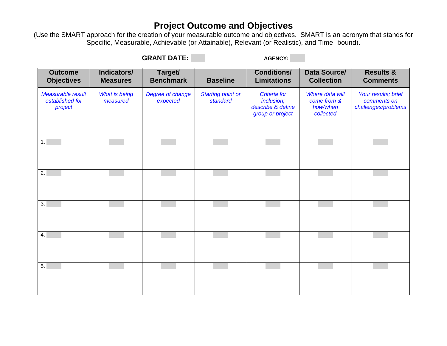# **Project Outcome and Objectives**

(Use the SMART approach for the creation of your measurable outcome and objectives. SMART is an acronym that stands for Specific, Measurable, Achievable (or Attainable), Relevant (or Realistic), and Time- bound).

GRANT DATE: **AGENCY:** AGENCY:

| <b>Outcome</b><br><b>Objectives</b>             | Indicators/<br><b>Measures</b>   | Target/<br><b>Benchmark</b>  | <b>Baseline</b>                      | <b>Conditions/</b><br><b>Limitations</b>                                   | Data Source/<br><b>Collection</b>                       | <b>Results &amp;</b><br><b>Comments</b>                   |
|-------------------------------------------------|----------------------------------|------------------------------|--------------------------------------|----------------------------------------------------------------------------|---------------------------------------------------------|-----------------------------------------------------------|
| Measurable result<br>established for<br>project | <b>What is being</b><br>measured | Degree of change<br>expected | <b>Starting point or</b><br>standard | <b>Criteria</b> for<br>inclusion;<br>describe & define<br>group or project | Where data will<br>come from &<br>how/when<br>collected | Your results; brief<br>comments on<br>challenges/problems |
| 1.                                              |                                  |                              |                                      |                                                                            |                                                         |                                                           |
| 2.                                              |                                  |                              |                                      |                                                                            |                                                         |                                                           |
| $\overline{3}$ .                                |                                  |                              |                                      |                                                                            |                                                         |                                                           |
| 4.                                              |                                  |                              |                                      |                                                                            |                                                         |                                                           |
| 5.                                              |                                  |                              |                                      |                                                                            |                                                         |                                                           |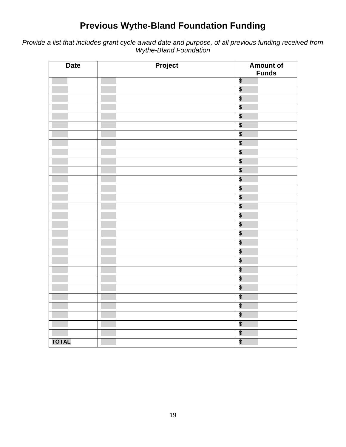# **Previous Wythe-Bland Foundation Funding**

*Provide a list that includes grant cycle award date and purpose, of all previous funding received from Wythe-Bland Foundation*

| <b>Date</b>  | Project | <b>Amount of</b><br><b>Funds</b> |
|--------------|---------|----------------------------------|
|              |         | $\boldsymbol{\theta}$            |
|              |         | \$                               |
|              |         | \$                               |
|              |         | \$                               |
|              |         | \$                               |
|              |         | \$                               |
|              |         | \$                               |
|              |         | \$                               |
|              |         | \$                               |
|              |         | \$                               |
|              |         | \$                               |
|              |         | \$                               |
|              |         | $\sqrt[6]{\frac{1}{2}}$          |
|              |         | \$                               |
|              |         | \$                               |
|              |         | $\sqrt[6]{\frac{1}{2}}$          |
|              |         | $\boldsymbol{\mathsf{S}}$        |
|              |         | \$                               |
|              |         | $\sqrt[6]{\frac{1}{2}}$          |
|              |         | \$                               |
|              |         | \$                               |
|              |         | \$                               |
|              |         | \$                               |
|              |         | \$                               |
|              |         | \$                               |
|              |         | \$                               |
|              |         | \$                               |
|              |         | \$                               |
|              |         | $\sqrt[6]{\frac{1}{2}}$          |
| <b>TOTAL</b> |         | \$                               |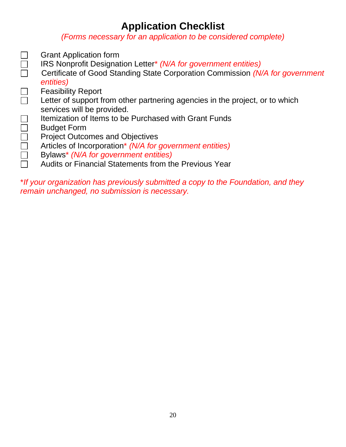# **Application Checklist**

*(Forms necessary for an application to be considered complete)*

Grant Application form  $\mathcal{L}^{\mathcal{A}}$  $\Box$ IRS Nonprofit Designation Letter\* *(N/A for government entities)* □ Certificate of Good Standing State Corporation Commission *(N/A for government entities)*  $\Box$ Feasibility Report Letter of support from other partnering agencies in the project, or to which services will be provided.  $\Box$ Itemization of Items to be Purchased with Grant Funds Budget Form Project Outcomes and Objectives Articles of Incorporation\* *(N/A for government entities)* Bylaws\* *(N/A for government entities)*  $\Box$ Audits or Financial Statements from the Previous Year

\**If your organization has previously submitted a copy to the Foundation, and they remain unchanged, no submission is necessary.*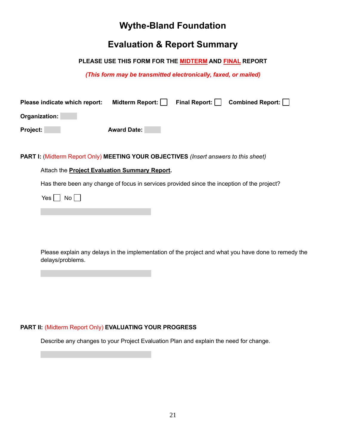# **Wythe-Bland Foundation**

# **Evaluation & Report Summary**

#### **PLEASE USE THIS FORM FOR THE MIDTERM AND FINAL REPORT**

*(This form may be transmitted electronically, faxed, or mailed)*

| Please indicate which report: | Midterm Report:    | Final Report: | Combined Report: |
|-------------------------------|--------------------|---------------|------------------|
| Organization:                 |                    |               |                  |
| Project:                      | <b>Award Date:</b> |               |                  |

#### **PART I:** (Midterm Report Only) **MEETING YOUR OBJECTIVES** *(Insert answers to this sheet)*

#### Attach the **Project Evaluation Summary Report.**

Has there been any change of focus in services provided since the inception of the project?

Yes  $\Box$  No  $\Box$ 

Please explain any delays in the implementation of the project and what you have done to remedy the delays/problems.

#### **PART II:** (Midterm Report Only) **EVALUATING YOUR PROGRESS**

Describe any changes to your Project Evaluation Plan and explain the need for change.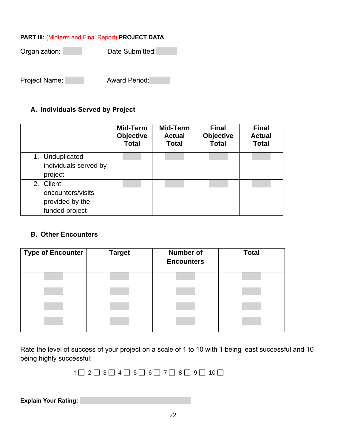### **PART III:** (Midterm and Final Report) **PROJECT DATA**

Organization: Date Submitted:

Project Name: **Award Period:** 

# **A. Individuals Served by Project**

|                                                                     | Mid-Term<br><b>Objective</b><br><b>Total</b> | Mid-Term<br><b>Actual</b><br><b>Total</b> | <b>Final</b><br><b>Objective</b><br><b>Total</b> | <b>Final</b><br><b>Actual</b><br><b>Total</b> |
|---------------------------------------------------------------------|----------------------------------------------|-------------------------------------------|--------------------------------------------------|-----------------------------------------------|
| 1. Unduplicated<br>individuals served by<br>project                 |                                              |                                           |                                                  |                                               |
| 2. Client<br>encounters/visits<br>provided by the<br>funded project |                                              |                                           |                                                  |                                               |

## **B. Other Encounters**

| <b>Type of Encounter</b> | <b>Target</b> | Number of<br><b>Encounters</b> | <b>Total</b> |
|--------------------------|---------------|--------------------------------|--------------|
|                          |               |                                |              |
|                          |               |                                |              |
|                          |               |                                |              |
|                          |               |                                |              |

Rate the level of success of your project on a scale of 1 to 10 with 1 being least successful and 10 being highly successful:

 $1 \square 2 \square 3 \square 4 \square 5 \square 6 \square 7 \square 8 \square 9 \square 10 \square$ 

**Explain Your Rating:**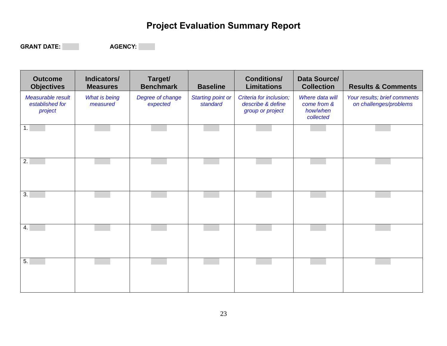# **Project Evaluation Summary Report**

GRANT DATE: AGENCY:

**Outcome Objectives Indicators/ Measures Target/ Benchmark Baseline Conditions/ Limitations Data Source/ Results & Comments** *Measurable result established for project What is being measured Degree of change expected Starting point or standard Criteria for inclusion; describe & define group or project Where data will come from & how/when collected Your results; brief comments on challenges/problems* 1. 2. 3. 4. 5.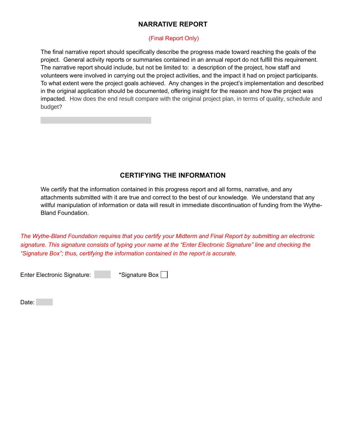## **NARRATIVE REPORT**

#### (Final Report Only)

The final narrative report should specifically describe the progress made toward reaching the goals of the project. General activity reports or summaries contained in an annual report do not fulfill this requirement. The narrative report should include, but not be limited to: a description of the project, how staff and volunteers were involved in carrying out the project activities, and the impact it had on project participants. To what extent were the project goals achieved. Any changes in the project's implementation and described in the original application should be documented, offering insight for the reason and how the project was impacted. How does the end result compare with the original project plan, in terms of quality, schedule and budget?

## **CERTIFYING THE INFORMATION**

We certify that the information contained in this progress report and all forms, narrative, and any attachments submitted with it are true and correct to the best of our knowledge. We understand that any willful manipulation of information or data will result in immediate discontinuation of funding from the Wythe-Bland Foundation.

*The Wythe-Bland Foundation requires that you certify your Midterm and Final Report by submitting an electronic signature. This signature consists of typing your name at the "Enter Electronic Signature" line and checking the "Signature Box"; thus, certifying the information contained in the report is accurate.* 

Enter Electronic Signature: \* \* Signature Box  $\Box$ 

Date: